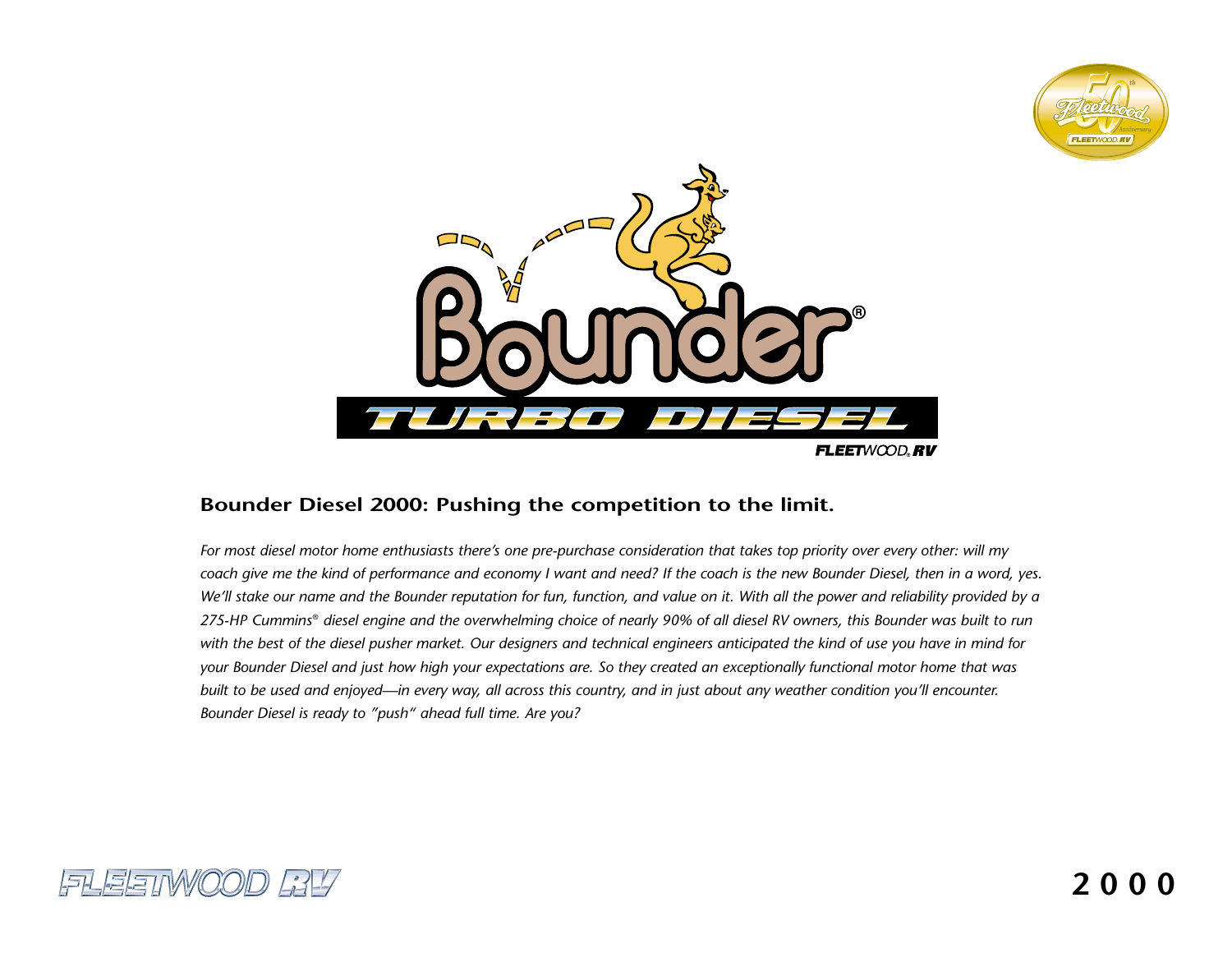



# **Bounder Diesel 2000: Pushing the competition to the limit.**

*For most diesel motor home enthusiasts there's one pre-purchase consideration that takes top priority over every other: will my coach give me the kind of performance and economy I want and need? If the coach is the new Bounder Diesel, then in a word, yes. We'll stake our name and the Bounder reputation for fun, function, and value on it. With all the power and reliability provided by a 275-HP Cummins*® *diesel engine and the overwhelming choice of nearly 90% of all diesel RV owners, this Bounder was built to run with the best of the diesel pusher market. Our designers and technical engineers anticipated the kind of use you have in mind for your Bounder Diesel and just how high your expectations are. So they created an exceptionally functional motor home that was built to be used and enjoyed—in every way, all across this country, and in just about any weather condition you'll encounter. Bounder Diesel is ready to "push" ahead full time. Are you?*

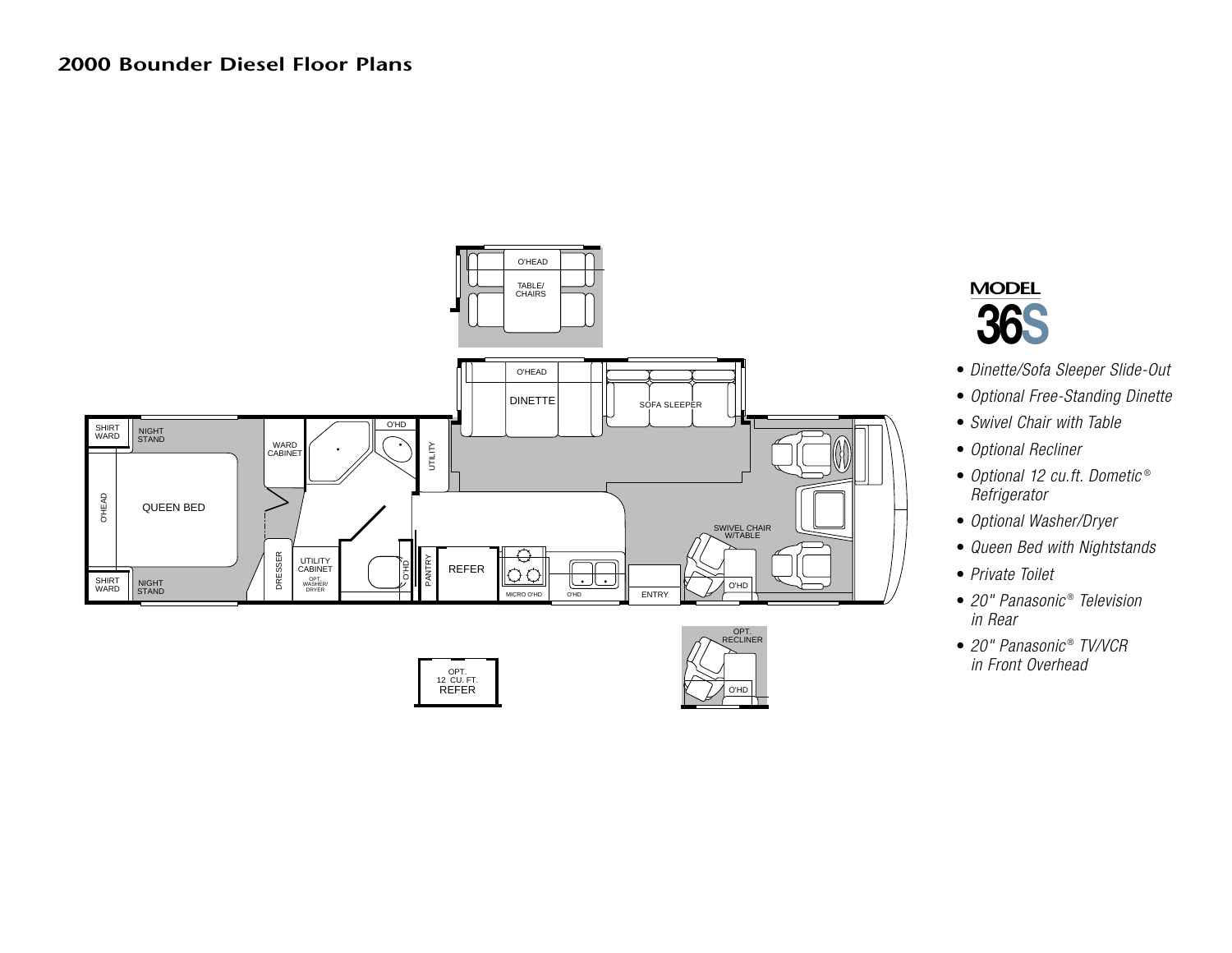







- *Dinette/Sofa Sleeper Slide-Out*
- *Optional Free-Standing Dinette*
- *Swivel Chair with Table*
- *Optional Recliner*
- *Optional 12 cu.ft. Dometic* ® *Refrigerator*
- *Optional Washer/Dryer*
- *Queen Bed with Nightstands*
- *Private Toilet*
- *20" Panasonic* ® *Television in Rear*
- *20" Panasonic* ® *TV/VCR in Front Overhead*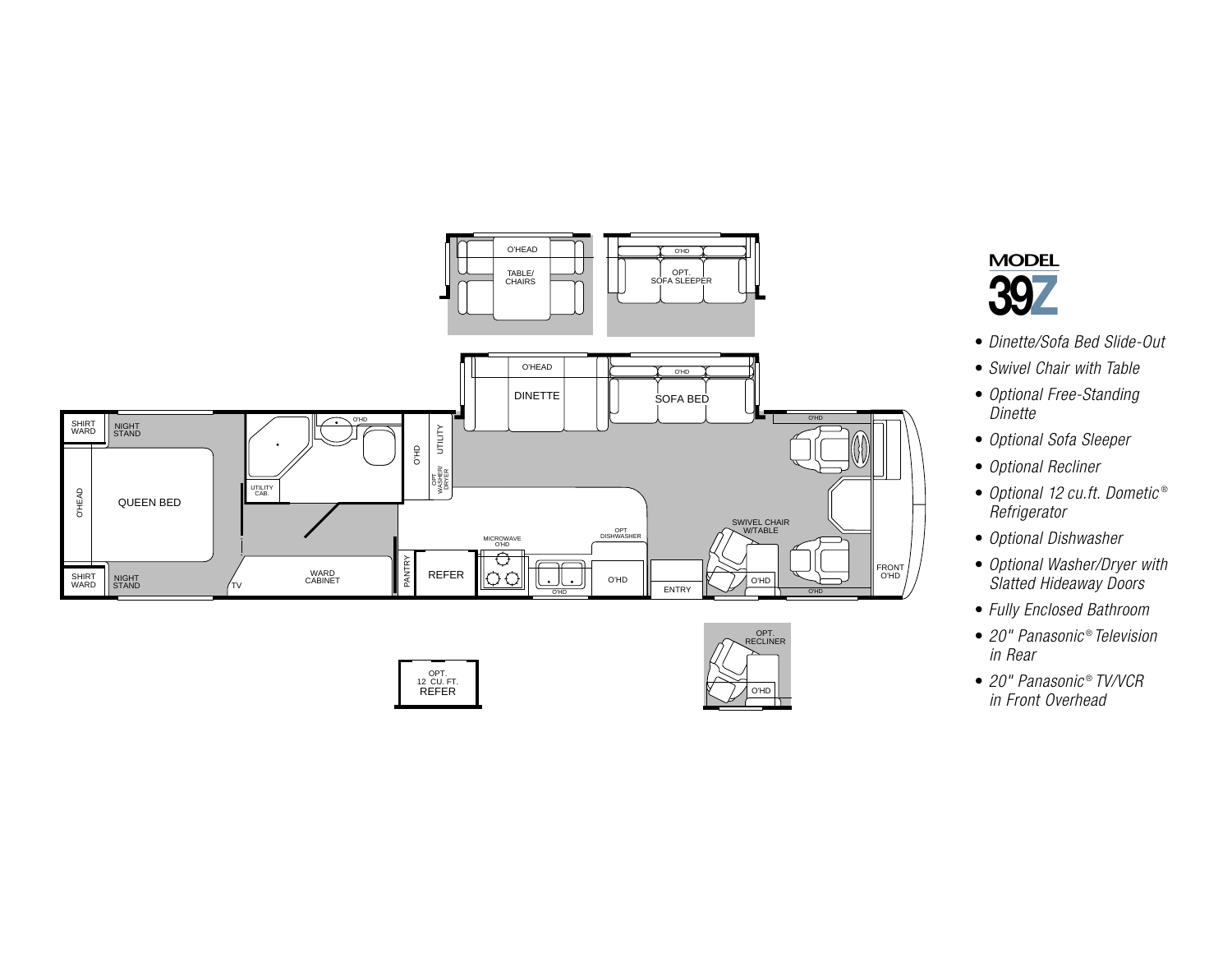







- *Dinette/Sofa Bed Slide-Out*
- *Swivel Chair with Table*
- *Optional Free-Standing Dinette*
- *Optional Sofa Sleeper*
- *Optional Recliner*
- *Optional 12 cu.ft. Dometic* ® *Refrigerator*
- *Optional Dishwasher*
- *Optional Washer/Dryer with Slatted Hideaway Doors*
- *Fully Enclosed Bathroom*
- *20" Panasonic* ® *Television in Rear*
- *20" Panasonic* ® *TV/VCR in Front Overhead*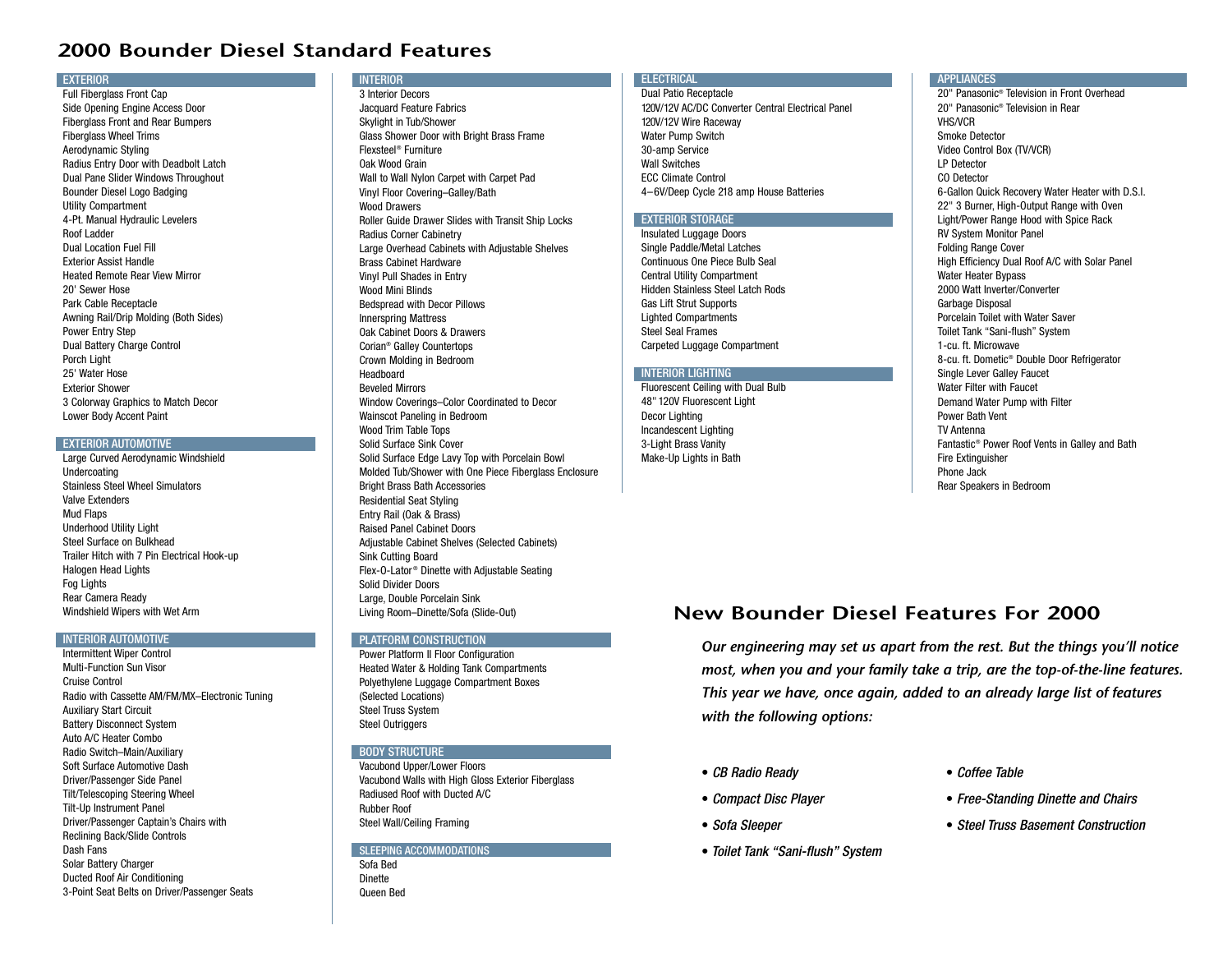## **2000 Bounder Diesel Standard Features**

#### **EXTERIOR**

Full Fiberglass Front Cap Side Opening Engine Access Door Fiberglass Front and Rear Bumpers Fiberglass Wheel Trims Aerodynamic Styling Radius Entry Door with Deadbolt Latch Dual Pane Slider Windows Throughout Bounder Diesel Logo Badging Utility Compartment 4-Pt. Manual Hydraulic Levelers Roof LadderDual Location Fuel FillExterior Assist HandleHeated Remote Rear View Mirror20' Sewer HosePark Cable Receptacle Awning Rail/Drip Molding (Both Sides) Power Entry Step Dual Battery Charge Control Porch Light 25' Water HoseExterior Shower3 Colorway Graphics to Match Decor Lower Body Accent Paint

#### EXTERIOR AUTOMOTIVE

Large Curved Aerodynamic Windshield Undercoating Stainless Steel Wheel SimulatorsValve ExtendersMud Flaps Underhood Utility Light Steel Surface on BulkheadTrailer Hitch with 7 Pin Electrical Hook-up Halogen Head Lights Fog Lights Rear Camera Ready Windshield Wipers with Wet Arm

#### INTERIOR AUTOMOTIVE

Intermittent Wiper Control Multi-Function Sun VisorCruise ControlRadio with Cassette AM/FM/MX–Electronic Tuning Auxiliary Start Circuit Battery Disconnect System Auto A/C Heater ComboRadio Switch–Main/Auxiliary Soft Surface Automotive DashDriver/Passenger Side Panel Tilt/Telescoping Steering Wheel Tilt-Up Instrument Panel Driver/Passenger Captain's Chairs with Reclining Back/Slide Controls Dash FansSolar Battery Charger Ducted Roof Air Conditioning 3-Point Seat Belts on Driver/Passenger Seats

## **INTERIOR**

3 Interior DecorsJacquard Feature Fabrics Skylight in Tub/Shower Glass Shower Door with Bright Brass Frame Flexsteel® FurnitureOak Wood Grain Wall to Wall Nylon Carpet with Carpet Pad Vinyl Floor Covering–Galley/Bath Wood Drawers Roller Guide Drawer Slides with Transit Ship Locks Radius Corner Cabinetry Large Overhead Cabinets with Adjustable Shelves Brass Cabinet Hardware Vinyl Pull Shades in Entry Wood Mini Blinds Bedspread with Decor Pillows Innerspring Mattress Oak Cabinet Doors & DrawersCorian® Galley Countertops Crown Molding in Bedroom Headboard Beveled Mirrors Window Coverings–Color Coordinated to Decor Wainscot Paneling in Bedroom Wood Trim Table Tops Solid Surface Sink CoverSolid Surface Edge Lavy Top with Porcelain Bowl Molded Tub/Shower with One Piece Fiberglass Enclosure Bright Brass Bath Accessories Residential Seat Styling Entry Rail (Oak & Brass) Raised Panel Cabinet Doors Adjustable Cabinet Shelves (Selected Cabinets) Sink Cutting Board Flex-O-Lator ® Dinette with Adjustable Seating Solid Divider DoorsLarge, Double Porcelain Sink

### **PLATFORM CONSTRUCTION**

Living Room–Dinette/Sofa (Slide-Out)

Power Platform II Floor Configuration Heated Water & Holding Tank Compartments Polyethylene Luggage Compartment Boxes (Selected Locations) Steel Truss System Steel Outriggers

#### **BODY STRUCTURE**

Vacubond Upper/Lower Floors Vacubond Walls with High Gloss Exterior Fiberglass Radiused Roof with Ducted A/CRubber RoofSteel Wall/Ceiling Framing

## SLEEPING ACCOMMODATIONS

Sofa BedDinetteQueen Bed

#### **ELECTRICAL** Dual Patio Receptacle

120V/12V AC/DC Converter Central Electrical Panel 120V/12V Wire Raceway Water Pump Switch 30-amp Service Wall SwitchesECC Climate Control4–6V/Deep Cycle 218 amp House Batteries

## **EXTERIOR STORAGE**

Insulated Luggage Doors Single Paddle/Metal Latches Continuous One Piece Bulb SealCentral Utility Compartment Hidden Stainless Steel Latch RodsGas Lift Strut Supports Lighted Compartments Steel Seal FramesCarpeted Luggage Compartment

### INTERIOR LIGHTING

Fluorescent Ceiling with Dual Bulb 48" 120V Fluorescent Light Decor Lighting Incandescent Lighting 3-Light Brass Vanity Make-Up Lights in Bath

#### **APPLIANCES**

20" Panasonic® Television in Front Overhead20" Panasonic® Television in RearVHS/VCRSmoke DetectorVideo Control Box (TV/VCR) LP DetectorCO Detector6-Gallon Quick Recovery Water Heater with D.S.I. 22" 3 Burner, High-Output Range with Oven Light/Power Range Hood with Spice Rack RV System Monitor Panel Folding Range Cover High Efficiency Dual Roof A/C with Solar Panel Water Heater Bypass 2000 Watt Inverter/ConverterGarbage Disposal Porcelain Toilet with Water SaverToilet Tank "Sani-flush" System 1-cu. ft. Microwave8-cu. ft. Dometic® Double Door Refrigerator Single Lever Galley Faucet Water Filter with FaucetDemand Water Pump with Filter Power Bath VentTV AntennaFantastic® Power Roof Vents in Galley and Bath Fire Extinguisher Phone JackRear Speakers in Bedroom

# **New Bounder Diesel Features For 2000**

*Our engineering may set us apart from the rest. But the things you'll notice most, when you and your family take a trip, are the top-of-the-line features. This year we have, once again, added to an already large list of features with the following options:*

- *CB Radio Ready*
- *Compact Disc Player*
- *Sofa Sleeper*
- *Toilet Tank "Sani-flush" System*
- *Coffee Table*
- *Free-Standing Dinette and Chairs*
- *Steel Truss Basement Construction*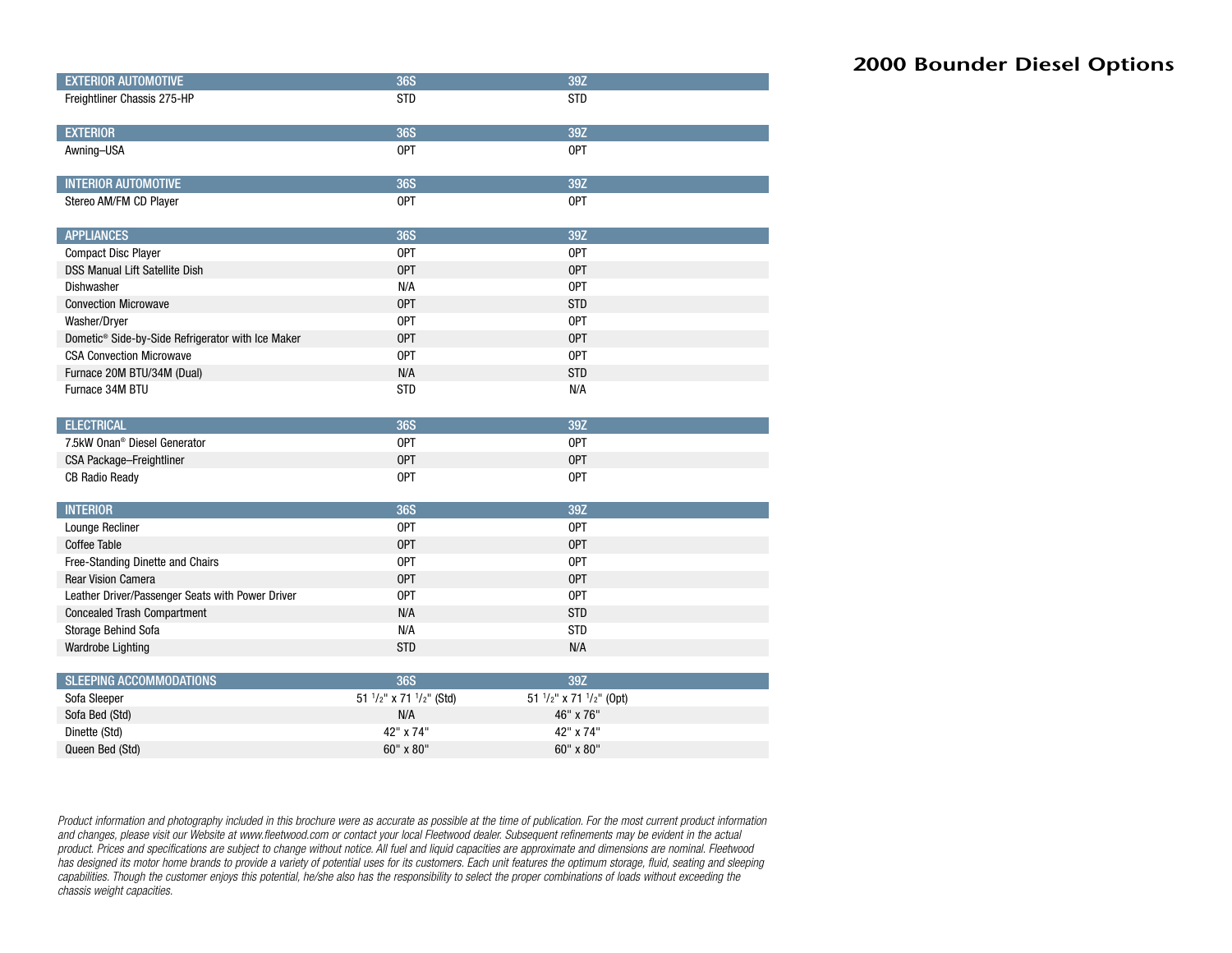| <b>EXTERIOR AUTOMOTIVE</b>                                    | <b>36S</b>              | 39Z                     |  |
|---------------------------------------------------------------|-------------------------|-------------------------|--|
| Freightliner Chassis 275-HP                                   | <b>STD</b>              | <b>STD</b>              |  |
|                                                               |                         |                         |  |
| <b>EXTERIOR</b>                                               | <b>36S</b>              | 39Z                     |  |
| Awning-USA                                                    | OPT                     | OPT                     |  |
|                                                               |                         |                         |  |
| <b>INTERIOR AUTOMOTIVE</b>                                    | <b>36S</b>              | 39Z                     |  |
| Stereo AM/FM CD Player                                        | OPT                     | <b>OPT</b>              |  |
|                                                               |                         |                         |  |
| <b>APPLIANCES</b>                                             | <b>36S</b>              | 39Z                     |  |
| <b>Compact Disc Player</b>                                    | OPT                     | <b>OPT</b>              |  |
| <b>DSS Manual Lift Satellite Dish</b>                         | OPT                     | OPT                     |  |
| Dishwasher                                                    | N/A                     | <b>OPT</b>              |  |
| <b>Convection Microwave</b>                                   | <b>OPT</b>              | <b>STD</b>              |  |
| Washer/Dryer                                                  | OPT                     | OPT                     |  |
| Dometic <sup>®</sup> Side-by-Side Refrigerator with Ice Maker | <b>OPT</b>              | <b>OPT</b>              |  |
| <b>CSA Convection Microwave</b>                               | OPT                     | <b>OPT</b>              |  |
| Furnace 20M BTU/34M (Dual)                                    | N/A                     | <b>STD</b>              |  |
| Furnace 34M BTU                                               | <b>STD</b>              | N/A                     |  |
|                                                               |                         |                         |  |
| <b>ELECTRICAL</b>                                             | <b>36S</b>              | 39Z                     |  |
| 7.5kW Onan <sup>®</sup> Diesel Generator                      | OPT                     | OPT                     |  |
| CSA Package-Freightliner                                      | OPT                     | OPT                     |  |
| <b>CB Radio Ready</b>                                         | 0PT                     | <b>OPT</b>              |  |
|                                                               |                         |                         |  |
| <b>INTERIOR</b>                                               | <b>36S</b>              | 39Z                     |  |
| Lounge Recliner                                               | OPT                     | <b>OPT</b>              |  |
| <b>Coffee Table</b>                                           | <b>OPT</b>              | <b>OPT</b>              |  |
| Free-Standing Dinette and Chairs                              | OPT                     | OPT                     |  |
| <b>Rear Vision Camera</b>                                     | <b>OPT</b>              | <b>OPT</b>              |  |
| Leather Driver/Passenger Seats with Power Driver              | OPT                     | <b>OPT</b>              |  |
| <b>Concealed Trash Compartment</b>                            | N/A                     | <b>STD</b>              |  |
| Storage Behind Sofa                                           | N/A                     | <b>STD</b>              |  |
| Wardrobe Lighting                                             | <b>STD</b>              | N/A                     |  |
|                                                               |                         |                         |  |
| <b>SLEEPING ACCOMMODATIONS</b>                                | <b>36S</b>              | 39Z                     |  |
| Sofa Sleeper                                                  | 51 1/2" x 71 1/2" (Std) | 51 1/2" x 71 1/2" (Opt) |  |
| Sofa Bed (Std)                                                | N/A                     | 46" x 76"               |  |
| Dinette (Std)                                                 | 42" x 74"               | 42" x 74"               |  |
| Queen Bed (Std)                                               | 60" x 80"               | 60" x 80"               |  |

*Product information and photography included in this brochure were as accurate as possible at the time of publication. For the most current product information and changes, please visit our Website at www.fleetwood.com or contact your local Fleetwood dealer. Subsequent refinements may be evident in the actual product. Prices and specifications are subject to change without notice. All fuel and liquid capacities are approximate and dimensions are nominal. Fleetwood has designed its motor home brands to provide a variety of potential uses for its customers. Each unit features the optimum storage, fluid, seating and sleeping capabilities. Though the customer enjoys this potential, he/she also has the responsibility to select the proper combinations of loads without exceeding the chassis weight capacities.*

# **2000 Bounder Diesel Options**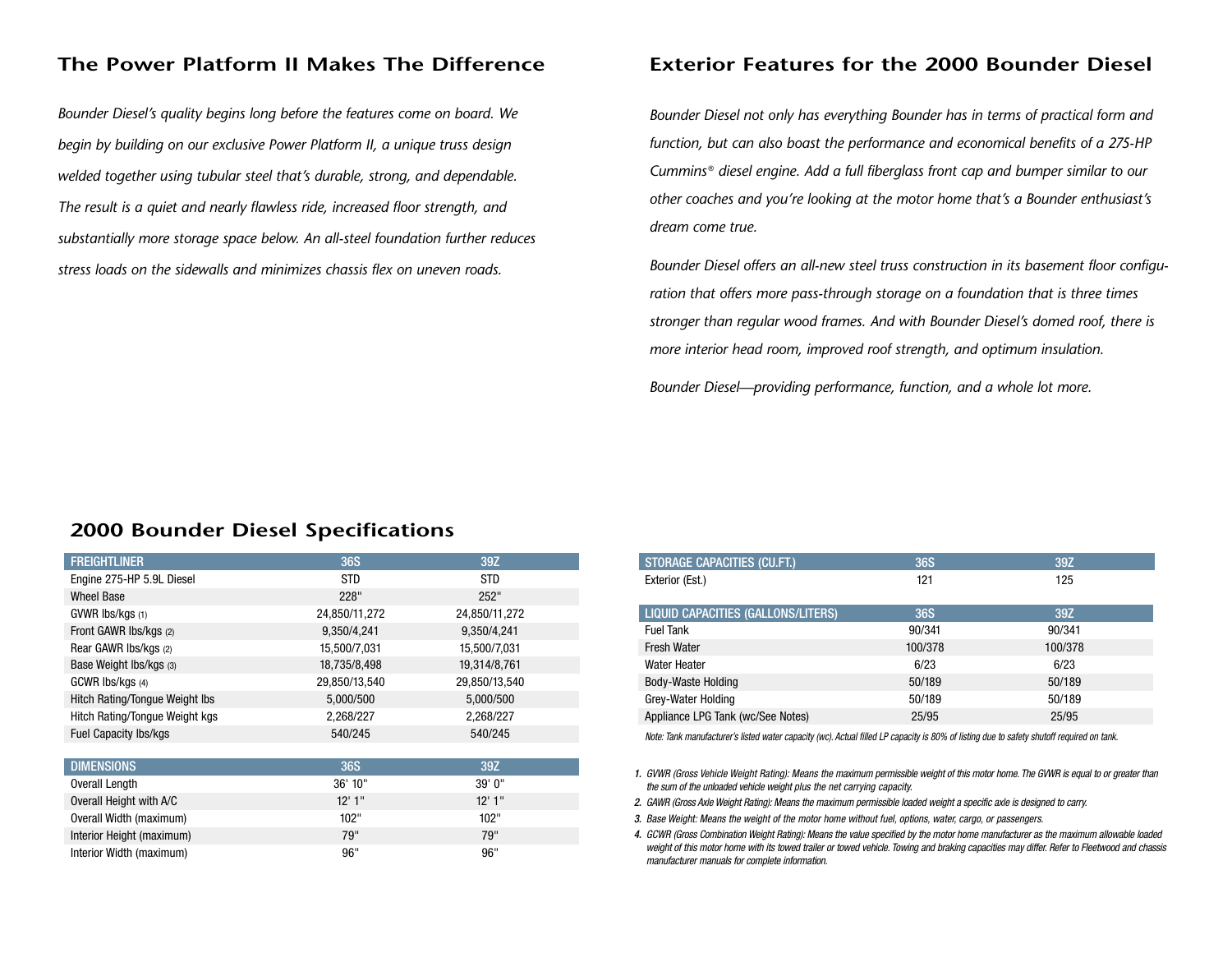*Bounder Diesel's quality begins long before the features come on board. We begin by building on our exclusive Power Platform II, a unique truss design welded together using tubular steel that's durable, strong, and dependable. The result is a quiet and nearly flawless ride, increased floor strength, and substantially more storage space below. An all-steel foundation further reduces stress loads on the sidewalls and minimizes chassis flex on uneven roads.*

## **The Power Platform II Makes The Difference Exterior Features for the 2000 Bounder Diesel**

*Bounder Diesel not only has everything Bounder has in terms of practical form and function, but can also boast the performance and economical benefits of a 275-HP Cummins* ® *diesel engine. Add a full fiberglass front cap and bumper similar to our other coaches and you're looking at the motor home that's a Bounder enthusiast's dream come true.*

*Bounder Diesel offers an all-new steel truss construction in its basement floor configuration that offers more pass-through storage on a foundation that is three times stronger than regular wood frames. And with Bounder Diesel's domed roof, there is more interior head room, improved roof strength, and optimum insulation.*

*Bounder Diesel—providing performance, function, and a whole lot more.*

## **2000 Bounder Diesel Specifications**

| <b>FREIGHTLINER</b>                   | <b>36S</b>    | 39Z           |
|---------------------------------------|---------------|---------------|
| Engine 275-HP 5.9L Diesel             | <b>STD</b>    | <b>STD</b>    |
| <b>Wheel Base</b>                     | 228"          | 252"          |
| $GWWR$ lbs/kgs $(1)$                  | 24,850/11,272 | 24,850/11,272 |
| Front GAWR Ibs/kgs (2)                | 9,350/4,241   | 9,350/4,241   |
| Rear GAWR Ibs/kgs (2)                 | 15,500/7,031  | 15,500/7,031  |
| Base Weight Ibs/kgs (3)               | 18,735/8,498  | 19,314/8,761  |
| GCWR Ibs/kgs (4)                      | 29,850/13,540 | 29,850/13,540 |
| <b>Hitch Rating/Tongue Weight Ibs</b> | 5,000/500     | 5,000/500     |
| Hitch Rating/Tongue Weight kgs        | 2,268/227     | 2,268/227     |
| <b>Fuel Capacity Ibs/kgs</b>          | 540/245       | 540/245       |
|                                       |               |               |
| <b>DIMENSIONS</b>                     | <b>36S</b>    | 39Z           |
| Overall Length                        | 36' 10"       | 39' 0"        |
| Overall Height with A/C               | 12'1''        | 12'1''        |
| Overall Width (maximum)               | 102"          | 102"          |
| Interior Height (maximum)             | 79"           | 79"           |
| Interior Width (maximum)              | 96"           | 96"           |

| <b>36S</b> | 39Z     |
|------------|---------|
| 121        | 125     |
|            |         |
| 36S        | 39Z     |
| 90/341     | 90/341  |
| 100/378    | 100/378 |
| 6/23       | 6/23    |
| 50/189     | 50/189  |
| 50/189     | 50/189  |
| 25/95      | 25/95   |
|            |         |

*Note: Tank manufacturer's listed water capacity (wc). Actual filled LP capacity is 80% of listing due to safety shutoff required on tank.*

*1. GVWR (Gross Vehicle Weight Rating): Means the maximum permissible weight of this motor home. The GVWR is equal to or greater than the sum of the unloaded vehicle weight plus the net carrying capacity.*

*2. GAWR (Gross Axle Weight Rating): Means the maximum permissible loaded weight a specific axle is designed to carry.*

*3. Base Weight: Means the weight of the motor home without fuel, options, water, cargo, or passengers.*

*4. GCWR (Gross Combination Weight Rating): Means the value specified by the motor home manufacturer as the maximum allowable loaded weight of this motor home with its towed trailer or towed vehicle. Towing and braking capacities may differ. Refer to Fleetwood and chassis manufacturer manuals for complete information.*